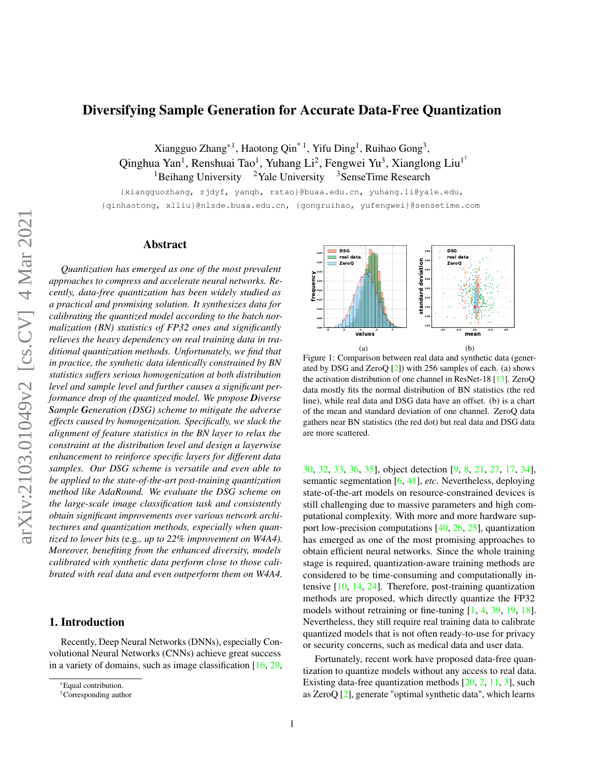# <span id="page-0-2"></span>Diversifying Sample Generation for Accurate Data-Free Quantization

Xiangguo Zhang\*<sup>1</sup>, Haotong Qin<sup>\*1</sup>, Yifu Ding<sup>1</sup>, Ruihao Gong<sup>3</sup>, Qinghua Yan<sup>1</sup>, Renshuai Tao<sup>1</sup>, Yuhang Li<sup>2</sup>, Fengwei Yu<sup>3</sup>, Xianglong Liu<sup>1†</sup> <sup>1</sup>Beihang University <sup>2</sup>Yale University <sup>3</sup>SenseTime Research

{xiangguozhang, zjdyf, yanqh, rstao}@buaa.edu.cn, yuhang.li@yale.edu, {qinhaotong, xlliu}@nlsde.buaa.edu.cn, {gongruihao, yufengwei}@sensetime.com

# Abstract

*Quantization has emerged as one of the most prevalent approaches to compress and accelerate neural networks. Recently, data-free quantization has been widely studied as a practical and promising solution. It synthesizes data for calibrating the quantized model according to the batch normalization (BN) statistics of FP32 ones and significantly relieves the heavy dependency on real training data in traditional quantization methods. Unfortunately, we find that in practice, the synthetic data identically constrained by BN statistics suffers serious homogenization at both distribution level and sample level and further causes a significant performance drop of the quantized model. We propose Diverse Sample Generation (DSG) scheme to mitigate the adverse effects caused by homogenization. Specifically, we slack the alignment of feature statistics in the BN layer to relax the constraint at the distribution level and design a layerwise enhancement to reinforce specific layers for different data samples. Our DSG scheme is versatile and even able to be applied to the state-of-the-art post-training quantization method like AdaRound. We evaluate the DSG scheme on the large-scale image classification task and consistently obtain significant improvements over various network architectures and quantization methods, especially when quantized to lower bits (*e.g*., up to 22% improvement on W4A4). Moreover, benefiting from the enhanced diversity, models calibrated with synthetic data perform close to those calibrated with real data and even outperform them on W4A4.*

# 1. Introduction

Recently, Deep Neural Networks (DNNs), especially Convolutional Neural Networks (CNNs) achieve great success in a variety of domains, such as image classification [\[16,](#page-8-0) [29,](#page-9-0)

<span id="page-0-0"></span>

<span id="page-0-1"></span>Figure 1: Comparison between real data and synthetic data (generated by DSG and ZeroQ  $[2]$ ) with 256 samples of each. (a) shows the activation distribution of one channel in ResNet-18 [\[13\]](#page-8-2). ZeroQ data mostly fits the normal distribution of BN statistics (the red line), while real data and DSG data have an offset. (b) is a chart of the mean and standard deviation of one channel. ZeroQ data gathers near BN statistics (the red dot) but real data and DSG data are more scattered.

[30,](#page-9-1) [32,](#page-9-2) [33,](#page-9-3) [36,](#page-9-4) [35\]](#page-9-5), object detection [\[9,](#page-8-3) [8,](#page-8-4) [21,](#page-8-5) [27,](#page-9-6) [17,](#page-8-6) [34\]](#page-9-7), semantic segmentation [\[6,](#page-8-7) [41\]](#page-9-8), *etc*. Nevertheless, deploying state-of-the-art models on resource-constrained devices is still challenging due to massive parameters and high computational complexity. With more and more hardware support low-precision computations [\[40,](#page-9-9) [26,](#page-8-8) [25\]](#page-8-9), quantization has emerged as one of the most promising approaches to obtain efficient neural networks. Since the whole training stage is required, quantization-aware training methods are considered to be time-consuming and computationally intensive [\[10,](#page-8-10) [14,](#page-8-11) [24\]](#page-8-12). Therefore, post-training quantization methods are proposed, which directly quantize the FP32 models without retraining or fine-tuning [\[1,](#page-8-13) [4,](#page-8-14) [39,](#page-9-10) [19,](#page-8-15) [18\]](#page-8-16). Nevertheless, they still require real training data to calibrate quantized models that is not often ready-to-use for privacy or security concerns, such as medical data and user data.

Fortunately, recent work have proposed data-free quantization to quantize models without any access to real data. Existing data-free quantization methods [\[20,](#page-8-17) [2,](#page-8-1) [11,](#page-8-18) [3\]](#page-8-19), such as ZeroQ [\[2\]](#page-8-1), generate "optimal synthetic data", which learns

<sup>\*</sup>Equal contribution.

<sup>†</sup>Corresponding author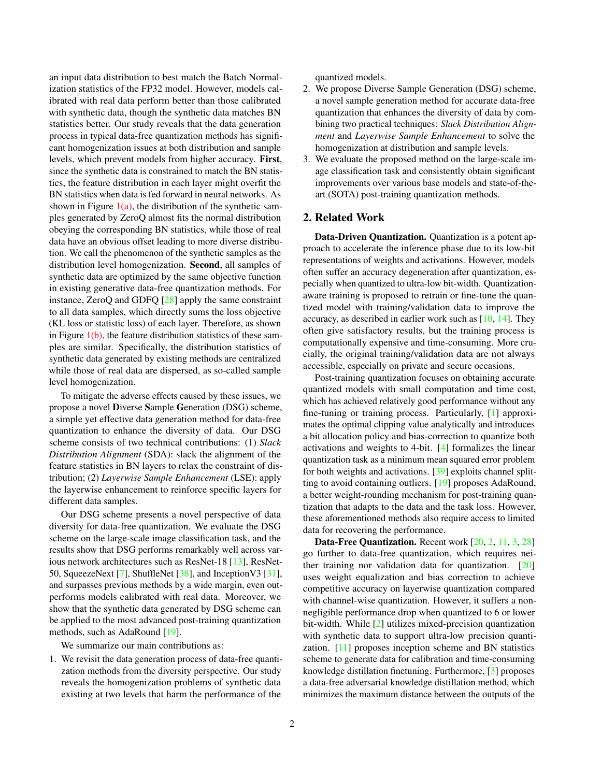<span id="page-1-0"></span>an input data distribution to best match the Batch Normalization statistics of the FP32 model. However, models calibrated with real data perform better than those calibrated with synthetic data, though the synthetic data matches BN statistics better. Our study reveals that the data generation process in typical data-free quantization methods has significant homogenization issues at both distribution and sample levels, which prevent models from higher accuracy. First, since the synthetic data is constrained to match the BN statistics, the feature distribution in each layer might overfit the BN statistics when data is fed forward in neural networks. As shown in Figure  $1(a)$ , the distribution of the synthetic samples generated by ZeroQ almost fits the normal distribution obeying the corresponding BN statistics, while those of real data have an obvious offset leading to more diverse distribution. We call the phenomenon of the synthetic samples as the distribution level homogenization. Second, all samples of synthetic data are optimized by the same objective function in existing generative data-free quantization methods. For instance, ZeroQ and GDFQ [\[28\]](#page-9-11) apply the same constraint to all data samples, which directly sums the loss objective (KL loss or statistic loss) of each layer. Therefore, as shown in Figure  $1(b)$ , the feature distribution statistics of these samples are similar. Specifically, the distribution statistics of synthetic data generated by existing methods are centralized while those of real data are dispersed, as so-called sample level homogenization.

To mitigate the adverse effects caused by these issues, we propose a novel Diverse Sample Generation (DSG) scheme, a simple yet effective data generation method for data-free quantization to enhance the diversity of data. Our DSG scheme consists of two technical contributions: (1) *Slack Distribution Alignment* (SDA): slack the alignment of the feature statistics in BN layers to relax the constraint of distribution; (2) *Layerwise Sample Enhancement* (LSE): apply the layerwise enhancement to reinforce specific layers for different data samples.

Our DSG scheme presents a novel perspective of data diversity for data-free quantization. We evaluate the DSG scheme on the large-scale image classification task, and the results show that DSG performs remarkably well across various network architectures such as ResNet-18 [\[13\]](#page-8-2), ResNet-50, SqueezeNext [\[7\]](#page-8-20), ShuffleNet [\[38\]](#page-9-12), and InceptionV3 [\[31\]](#page-9-13), and surpasses previous methods by a wide margin, even outperforms models calibrated with real data. Moreover, we show that the synthetic data generated by DSG scheme can be applied to the most advanced post-training quantization methods, such as AdaRound [\[19\]](#page-8-15).

We summarize our main contributions as:

1. We revisit the data generation process of data-free quantization methods from the diversity perspective. Our study reveals the homogenization problems of synthetic data existing at two levels that harm the performance of the

quantized models.

- 2. We propose Diverse Sample Generation (DSG) scheme, a novel sample generation method for accurate data-free quantization that enhances the diversity of data by combining two practical techniques: *Slack Distribution Alignment* and *Layerwise Sample Enhancement* to solve the homogenization at distribution and sample levels.
- 3. We evaluate the proposed method on the large-scale image classification task and consistently obtain significant improvements over various base models and state-of-theart (SOTA) post-training quantization methods.

# 2. Related Work

Data-Driven Quantization. Quantization is a potent approach to accelerate the inference phase due to its low-bit representations of weights and activations. However, models often suffer an accuracy degeneration after quantization, especially when quantized to ultra-low bit-width. Quantizationaware training is proposed to retrain or fine-tune the quantized model with training/validation data to improve the accuracy, as described in earlier work such as [\[10,](#page-8-10) [14\]](#page-8-11). They often give satisfactory results, but the training process is computationally expensive and time-consuming. More crucially, the original training/validation data are not always accessible, especially on private and secure occasions.

Post-training quantization focuses on obtaining accurate quantized models with small computation and time cost, which has achieved relatively good performance without any fine-tuning or training process. Particularly, [\[1\]](#page-8-13) approximates the optimal clipping value analytically and introduces a bit allocation policy and bias-correction to quantize both activations and weights to 4-bit. [\[4\]](#page-8-14) formalizes the linear quantization task as a minimum mean squared error problem for both weights and activations. [\[39\]](#page-9-10) exploits channel splitting to avoid containing outliers. [\[19\]](#page-8-15) proposes AdaRound, a better weight-rounding mechanism for post-training quantization that adapts to the data and the task loss. However, these aforementioned methods also require access to limited data for recovering the performance.

Data-Free Quantization. Recent work [\[20,](#page-8-17) [2,](#page-8-1) [11,](#page-8-18) [3,](#page-8-19) [28\]](#page-9-11) go further to data-free quantization, which requires neither training nor validation data for quantization. [\[20\]](#page-8-17) uses weight equalization and bias correction to achieve competitive accuracy on layerwise quantization compared with channel-wise quantization. However, it suffers a nonnegligible performance drop when quantized to 6 or lower bit-width. While [\[2\]](#page-8-1) utilizes mixed-precision quantization with synthetic data to support ultra-low precision quantization. [\[11\]](#page-8-18) proposes inception scheme and BN statistics scheme to generate data for calibration and time-consuming knowledge distillation finetuning. Furthermore, [\[3\]](#page-8-19) proposes a data-free adversarial knowledge distillation method, which minimizes the maximum distance between the outputs of the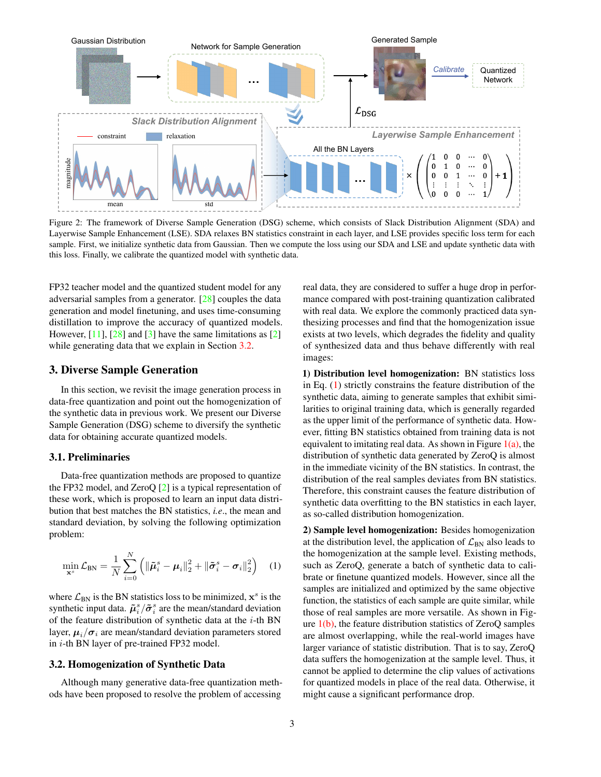<span id="page-2-3"></span><span id="page-2-2"></span>

Figure 2: The framework of Diverse Sample Generation (DSG) scheme, which consists of Slack Distribution Alignment (SDA) and Layerwise Sample Enhancement (LSE). SDA relaxes BN statistics constraint in each layer, and LSE provides specific loss term for each sample. First, we initialize synthetic data from Gaussian. Then we compute the loss using our SDA and LSE and update synthetic data with this loss. Finally, we calibrate the quantized model with synthetic data.

FP32 teacher model and the quantized student model for any adversarial samples from a generator. [\[28\]](#page-9-11) couples the data generation and model finetuning, and uses time-consuming distillation to improve the accuracy of quantized models. However,  $[11]$ ,  $[28]$  and  $[3]$  have the same limitations as  $[2]$ while generating data that we explain in Section [3.2.](#page-2-0)

# 3. Diverse Sample Generation

In this section, we revisit the image generation process in data-free quantization and point out the homogenization of the synthetic data in previous work. We present our Diverse Sample Generation (DSG) scheme to diversify the synthetic data for obtaining accurate quantized models.

# 3.1. Preliminaries

Data-free quantization methods are proposed to quantize the FP32 model, and ZeroQ [\[2\]](#page-8-1) is a typical representation of these work, which is proposed to learn an input data distribution that best matches the BN statistics, *i.e*., the mean and standard deviation, by solving the following optimization problem:

<span id="page-2-1"></span>
$$
\min_{\mathbf{x}^s} \mathcal{L}_{\text{BN}} = \frac{1}{N} \sum_{i=0}^N \left( \|\tilde{\boldsymbol{\mu}}_i^s - \boldsymbol{\mu}_i\|_2^2 + \|\tilde{\boldsymbol{\sigma}}_i^s - \boldsymbol{\sigma}_i\|_2^2 \right) \quad (1)
$$

where  $\mathcal{L}_{BN}$  is the BN statistics loss to be minimized,  $\mathbf{x}^s$  is the synthetic input data.  $\tilde{\mu}_i^s / \tilde{\sigma}_i^s$  are the mean/standard deviation of the feature distribution of synthetic data at the  $i$ -th BN layer,  $\mu_i/\sigma_i$  are mean/standard deviation parameters stored in *i*-th BN layer of pre-trained FP32 model.

# <span id="page-2-0"></span>3.2. Homogenization of Synthetic Data

Although many generative data-free quantization methods have been proposed to resolve the problem of accessing

real data, they are considered to suffer a huge drop in performance compared with post-training quantization calibrated with real data. We explore the commonly practiced data synthesizing processes and find that the homogenization issue exists at two levels, which degrades the fidelity and quality of synthesized data and thus behave differently with real images:

1) Distribution level homogenization: BN statistics loss in Eq. [\(1\)](#page-2-1) strictly constrains the feature distribution of the synthetic data, aiming to generate samples that exhibit similarities to original training data, which is generally regarded as the upper limit of the performance of synthetic data. However, fitting BN statistics obtained from training data is not equivalent to imitating real data. As shown in Figure  $1(a)$ , the distribution of synthetic data generated by ZeroQ is almost in the immediate vicinity of the BN statistics. In contrast, the distribution of the real samples deviates from BN statistics. Therefore, this constraint causes the feature distribution of synthetic data overfitting to the BN statistics in each layer, as so-called distribution homogenization.

2) Sample level homogenization: Besides homogenization at the distribution level, the application of  $\mathcal{L}_{BN}$  also leads to the homogenization at the sample level. Existing methods, such as ZeroQ, generate a batch of synthetic data to calibrate or finetune quantized models. However, since all the samples are initialized and optimized by the same objective function, the statistics of each sample are quite similar, while those of real samples are more versatile. As shown in Figure  $1(b)$ , the feature distribution statistics of ZeroO samples are almost overlapping, while the real-world images have larger variance of statistic distribution. That is to say, ZeroQ data suffers the homogenization at the sample level. Thus, it cannot be applied to determine the clip values of activations for quantized models in place of the real data. Otherwise, it might cause a significant performance drop.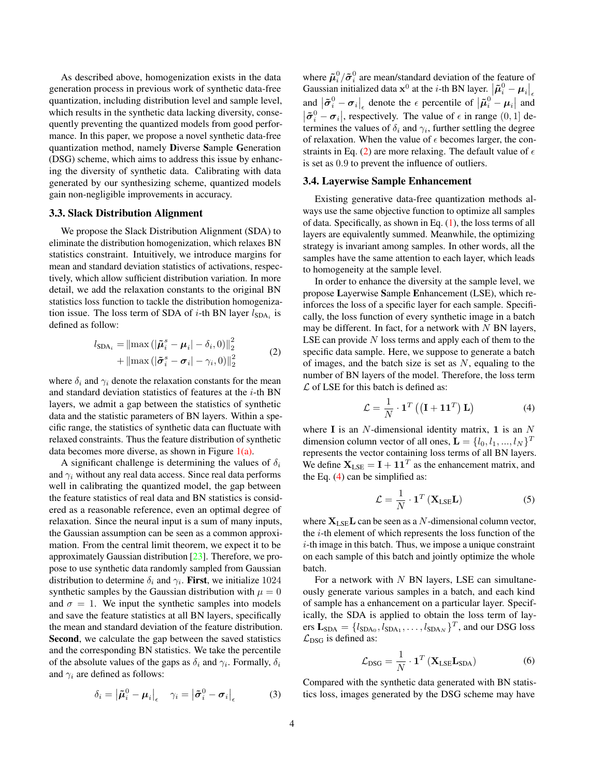<span id="page-3-5"></span>As described above, homogenization exists in the data generation process in previous work of synthetic data-free quantization, including distribution level and sample level, which results in the synthetic data lacking diversity, consequently preventing the quantized models from good performance. In this paper, we propose a novel synthetic data-free quantization method, namely Diverse Sample Generation (DSG) scheme, which aims to address this issue by enhancing the diversity of synthetic data. Calibrating with data generated by our synthesizing scheme, quantized models gain non-negligible improvements in accuracy.

# <span id="page-3-4"></span>3.3. Slack Distribution Alignment

We propose the Slack Distribution Alignment (SDA) to eliminate the distribution homogenization, which relaxes BN statistics constraint. Intuitively, we introduce margins for mean and standard deviation statistics of activations, respectively, which allow sufficient distribution variation. In more detail, we add the relaxation constants to the original BN statistics loss function to tackle the distribution homogenization issue. The loss term of SDA of *i*-th BN layer  $l_{SDA_i}$  is defined as follow:

<span id="page-3-0"></span>
$$
l_{\text{SDA}_i} = \left\| \max \left( |\tilde{\boldsymbol{\mu}}_i^s - \boldsymbol{\mu}_i| - \delta_i, 0 \right) \right\|_2^2 + \left\| \max \left( |\tilde{\boldsymbol{\sigma}}_i^s - \boldsymbol{\sigma}_i| - \gamma_i, 0 \right) \right\|_2^2
$$
 (2)

where  $\delta_i$  and  $\gamma_i$  denote the relaxation constants for the mean and standard deviation statistics of features at the  $i$ -th BN layers, we admit a gap between the statistics of synthetic data and the statistic parameters of BN layers. Within a specific range, the statistics of synthetic data can fluctuate with relaxed constraints. Thus the feature distribution of synthetic data becomes more diverse, as shown in Figure  $1(a)$ .

A significant challenge is determining the values of  $\delta_i$ and  $\gamma_i$  without any real data access. Since real data performs well in calibrating the quantized model, the gap between the feature statistics of real data and BN statistics is considered as a reasonable reference, even an optimal degree of relaxation. Since the neural input is a sum of many inputs, the Gaussian assumption can be seen as a common approximation. From the central limit theorem, we expect it to be approximately Gaussian distribution [\[23\]](#page-8-21). Therefore, we propose to use synthetic data randomly sampled from Gaussian distribution to determine  $\delta_i$  and  $\gamma_i$ . First, we initialize 1024 synthetic samples by the Gaussian distribution with  $\mu = 0$ and  $\sigma = 1$ . We input the synthetic samples into models and save the feature statistics at all BN layers, specifically the mean and standard deviation of the feature distribution. Second, we calculate the gap between the saved statistics and the corresponding BN statistics. We take the percentile of the absolute values of the gaps as  $\delta_i$  and  $\gamma_i$ . Formally,  $\delta_i$ and  $\gamma_i$  are defined as follows:

<span id="page-3-2"></span>
$$
\delta_i = \left| \tilde{\boldsymbol{\mu}}_i^0 - \boldsymbol{\mu}_i \right|_{\epsilon} \quad \gamma_i = \left| \tilde{\boldsymbol{\sigma}}_i^0 - \boldsymbol{\sigma}_i \right|_{\epsilon} \tag{3}
$$

where  $\tilde{\mu}^0_i/\tilde{\sigma}^0_i$  are mean/standard deviation of the feature of Gaussian initialized data  $\mathbf{x}^0$  at the *i*-th BN layer.  $\left| \boldsymbol{\tilde{\mu}}_i^0 - \boldsymbol{\mu}_i \right|_{\epsilon}$ and  $|\tilde{\sigma}_i^0 - \sigma_i|_{\epsilon}$  denote the  $\epsilon$  percentile of  $|\tilde{\mu}_i^0 - \mu_i|$  and  $|\tilde{\sigma}_i^0 - \sigma_i|$ , respectively. The value of  $\epsilon$  in range  $(0, 1]$  determines the values of  $\delta_i$  and  $\gamma_i$ , further settling the degree of relaxation. When the value of  $\epsilon$  becomes larger, the con-straints in Eq. [\(2\)](#page-3-0) are more relaxing. The default value of  $\epsilon$ is set as 0.9 to prevent the influence of outliers.

### 3.4. Layerwise Sample Enhancement

Existing generative data-free quantization methods always use the same objective function to optimize all samples of data. Specifically, as shown in Eq. [\(1\)](#page-2-1), the loss terms of all layers are equivalently summed. Meanwhile, the optimizing strategy is invariant among samples. In other words, all the samples have the same attention to each layer, which leads to homogeneity at the sample level.

In order to enhance the diversity at the sample level, we propose Layerwise Sample Enhancement (LSE), which reinforces the loss of a specific layer for each sample. Specifically, the loss function of every synthetic image in a batch may be different. In fact, for a network with  $N$  BN layers, LSE can provide  $N$  loss terms and apply each of them to the specific data sample. Here, we suppose to generate a batch of images, and the batch size is set as  $N$ , equaling to the number of BN layers of the model. Therefore, the loss term  $\mathcal L$  of LSE for this batch is defined as:

<span id="page-3-1"></span>
$$
\mathcal{L} = \frac{1}{N} \cdot \mathbf{1}^T \left( \left( \mathbf{I} + \mathbf{1} \mathbf{1}^T \right) \mathbf{L} \right) \tag{4}
$$

where I is an  $N$ -dimensional identity matrix, 1 is an  $N$ dimension column vector of all ones,  $\mathbf{L} = \{l_0, l_1, ..., l_N\}^T$ represents the vector containing loss terms of all BN layers. We define  $X_{LSE} = I + 11^{T}$  as the enhancement matrix, and the Eq. [\(4\)](#page-3-1) can be simplified as:

<span id="page-3-3"></span>
$$
\mathcal{L} = \frac{1}{N} \cdot \mathbf{1}^T \left( \mathbf{X}_{\text{LSE}} \mathbf{L} \right) \tag{5}
$$

where  $X_{LSE}$ L can be seen as a N-dimensional column vector, the i-th element of which represents the loss function of the  $i$ -th image in this batch. Thus, we impose a unique constraint on each sample of this batch and jointly optimize the whole batch.

For a network with  $N$  BN layers, LSE can simultaneously generate various samples in a batch, and each kind of sample has a enhancement on a particular layer. Specifically, the SDA is applied to obtain the loss term of layers  $\mathbf{L}_{\text{SDA}} = \{l_{\text{SDA}_0}, l_{\text{SDA}_1}, \dots, l_{\text{SDA}_N}\}^T$ , and our DSG loss  $\mathcal{L}_{\text{DSG}}$  is defined as:

$$
\mathcal{L}_{\text{DSG}} = \frac{1}{N} \cdot \mathbf{1}^T \left( \mathbf{X}_{\text{LSE}} \mathbf{L}_{\text{SDA}} \right) \tag{6}
$$

Compared with the synthetic data generated with BN statistics loss, images generated by the DSG scheme may have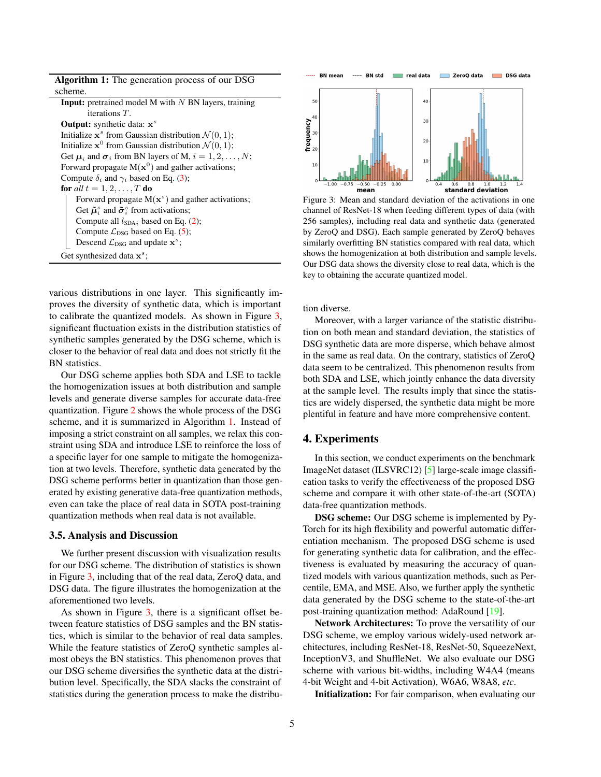<span id="page-4-2"></span><span id="page-4-1"></span>

| <b>Algorithm 1:</b> The generation process of our DSG                    |
|--------------------------------------------------------------------------|
| scheme.                                                                  |
| <b>Input:</b> pretrained model M with $N$ BN layers, training            |
| iterations $T$ .                                                         |
| <b>Output:</b> synthetic data: $x^s$                                     |
| Initialize $x^s$ from Gaussian distribution $\mathcal{N}(0, 1)$ ;        |
| Initialize $x^0$ from Gaussian distribution $\mathcal{N}(0, 1)$ ;        |
| Get $\mu_i$ and $\sigma_i$ from BN layers of M, $i = 1, 2, , N$ ;        |
| Forward propagate $M(x^0)$ and gather activations;                       |
| Compute $\delta_i$ and $\gamma_i$ based on Eq. (3);                      |
| for all $t = 1, 2, \ldots, T$ do                                         |
| Forward propagate $M(x^s)$ and gather activations;                       |
| Get $\tilde{\mu}_{i}^{s}$ and $\tilde{\sigma}_{i}^{s}$ from activations; |
| Compute all $l_{SDA}$ based on Eq. (2);                                  |
| Compute $\mathcal{L}_{\text{DSG}}$ based on Eq. (5);                     |
| Descend $\mathcal{L}_{\text{DSG}}$ and update $\mathbf{x}^{s}$ ;         |
| Get synthesized data $x^s$ ;                                             |

various distributions in one layer. This significantly improves the diversity of synthetic data, which is important to calibrate the quantized models. As shown in Figure [3,](#page-4-0) significant fluctuation exists in the distribution statistics of synthetic samples generated by the DSG scheme, which is closer to the behavior of real data and does not strictly fit the BN statistics.

Our DSG scheme applies both SDA and LSE to tackle the homogenization issues at both distribution and sample levels and generate diverse samples for accurate data-free quantization. Figure [2](#page-2-2) shows the whole process of the DSG scheme, and it is summarized in Algorithm [1.](#page-4-1) Instead of imposing a strict constraint on all samples, we relax this constraint using SDA and introduce LSE to reinforce the loss of a specific layer for one sample to mitigate the homogenization at two levels. Therefore, synthetic data generated by the DSG scheme performs better in quantization than those generated by existing generative data-free quantization methods, even can take the place of real data in SOTA post-training quantization methods when real data is not available.

#### 3.5. Analysis and Discussion

We further present discussion with visualization results for our DSG scheme. The distribution of statistics is shown in Figure [3,](#page-4-0) including that of the real data, ZeroQ data, and DSG data. The figure illustrates the homogenization at the aforementioned two levels.

As shown in Figure [3,](#page-4-0) there is a significant offset between feature statistics of DSG samples and the BN statistics, which is similar to the behavior of real data samples. While the feature statistics of ZeroQ synthetic samples almost obeys the BN statistics. This phenomenon proves that our DSG scheme diversifies the synthetic data at the distribution level. Specifically, the SDA slacks the constraint of statistics during the generation process to make the distribu-

<span id="page-4-0"></span>

Figure 3: Mean and standard deviation of the activations in one channel of ResNet-18 when feeding different types of data (with 256 samples), including real data and synthetic data (generated by ZeroQ and DSG). Each sample generated by ZeroQ behaves similarly overfitting BN statistics compared with real data, which shows the homogenization at both distribution and sample levels. Our DSG data shows the diversity close to real data, which is the key to obtaining the accurate quantized model.

tion diverse.

Moreover, with a larger variance of the statistic distribution on both mean and standard deviation, the statistics of DSG synthetic data are more disperse, which behave almost in the same as real data. On the contrary, statistics of ZeroQ data seem to be centralized. This phenomenon results from both SDA and LSE, which jointly enhance the data diversity at the sample level. The results imply that since the statistics are widely dispersed, the synthetic data might be more plentiful in feature and have more comprehensive content.

## 4. Experiments

In this section, we conduct experiments on the benchmark ImageNet dataset (ILSVRC12) [\[5\]](#page-8-22) large-scale image classification tasks to verify the effectiveness of the proposed DSG scheme and compare it with other state-of-the-art (SOTA) data-free quantization methods.

DSG scheme: Our DSG scheme is implemented by Py-Torch for its high flexibility and powerful automatic differentiation mechanism. The proposed DSG scheme is used for generating synthetic data for calibration, and the effectiveness is evaluated by measuring the accuracy of quantized models with various quantization methods, such as Percentile, EMA, and MSE. Also, we further apply the synthetic data generated by the DSG scheme to the state-of-the-art post-training quantization method: AdaRound [\[19\]](#page-8-15).

Network Architectures: To prove the versatility of our DSG scheme, we employ various widely-used network architectures, including ResNet-18, ResNet-50, SqueezeNext, InceptionV3, and ShuffleNet. We also evaluate our DSG scheme with various bit-widths, including W4A4 (means 4-bit Weight and 4-bit Activation), W6A6, W8A8, *etc*.

Initialization: For fair comparison, when evaluating our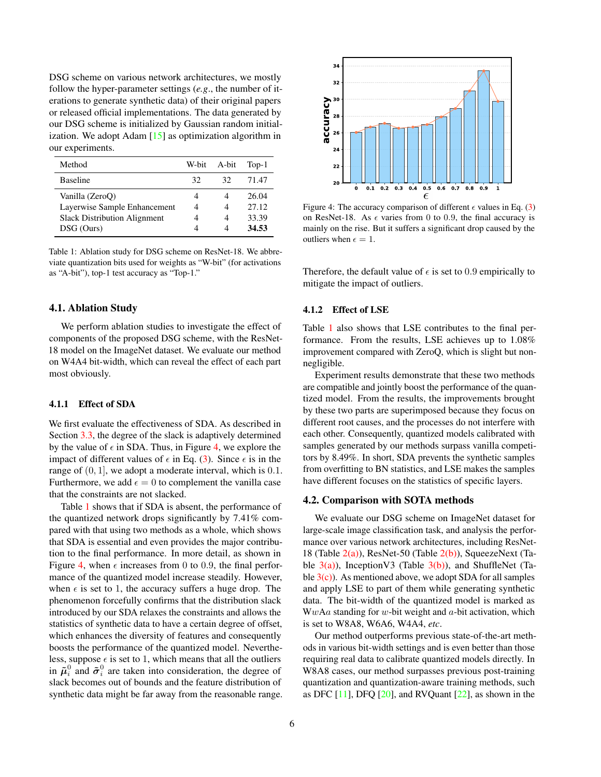<span id="page-5-2"></span>DSG scheme on various network architectures, we mostly follow the hyper-parameter settings (*e.g*., the number of iterations to generate synthetic data) of their original papers or released official implementations. The data generated by our DSG scheme is initialized by Gaussian random initialization. We adopt Adam  $[15]$  as optimization algorithm in our experiments.

<span id="page-5-1"></span>

| Method                              |    | W-bit A-bit | $Top-1$ |
|-------------------------------------|----|-------------|---------|
| <b>Baseline</b>                     | 32 | 32.         | 71.47   |
| Vanilla (ZeroO)                     |    |             | 26.04   |
| Layerwise Sample Enhancement        | 4  | 4           | 27.12   |
| <b>Slack Distribution Alignment</b> | 4  | 4           | 33.39   |
| DSG (Ours)                          |    |             | 34.53   |

Table 1: Ablation study for DSG scheme on ResNet-18. We abbreviate quantization bits used for weights as "W-bit" (for activations as "A-bit"), top-1 test accuracy as "Top-1."

# 4.1. Ablation Study

We perform ablation studies to investigate the effect of components of the proposed DSG scheme, with the ResNet-18 model on the ImageNet dataset. We evaluate our method on W4A4 bit-width, which can reveal the effect of each part most obviously.

#### 4.1.1 Effect of SDA

We first evaluate the effectiveness of SDA. As described in Section [3.3,](#page-3-4) the degree of the slack is adaptively determined by the value of  $\epsilon$  in SDA. Thus, in Figure [4,](#page-5-0) we explore the impact of different values of  $\epsilon$  in Eq. [\(3\)](#page-3-2). Since  $\epsilon$  is in the range of  $(0, 1]$ , we adopt a moderate interval, which is 0.1. Furthermore, we add  $\epsilon = 0$  to complement the vanilla case that the constraints are not slacked.

Table [1](#page-5-1) shows that if SDA is absent, the performance of the quantized network drops significantly by 7.41% compared with that using two methods as a whole, which shows that SDA is essential and even provides the major contribution to the final performance. In more detail, as shown in Figure [4,](#page-5-0) when  $\epsilon$  increases from 0 to 0.9, the final performance of the quantized model increase steadily. However, when  $\epsilon$  is set to 1, the accuracy suffers a huge drop. The phenomenon forcefully confirms that the distribution slack introduced by our SDA relaxes the constraints and allows the statistics of synthetic data to have a certain degree of offset, which enhances the diversity of features and consequently boosts the performance of the quantized model. Nevertheless, suppose  $\epsilon$  is set to 1, which means that all the outliers in  $\tilde{\mu}_i^0$  and  $\tilde{\sigma}_i^0$  are taken into consideration, the degree of slack becomes out of bounds and the feature distribution of synthetic data might be far away from the reasonable range.

<span id="page-5-0"></span>

Figure 4: The accuracy comparison of different  $\epsilon$  values in Eq. [\(3\)](#page-3-2) on ResNet-18. As  $\epsilon$  varies from 0 to 0.9, the final accuracy is mainly on the rise. But it suffers a significant drop caused by the outliers when  $\epsilon = 1$ .

Therefore, the default value of  $\epsilon$  is set to 0.9 empirically to mitigate the impact of outliers.

#### 4.1.2 Effect of LSE

Table [1](#page-5-1) also shows that LSE contributes to the final performance. From the results, LSE achieves up to 1.08% improvement compared with ZeroQ, which is slight but nonnegligible.

Experiment results demonstrate that these two methods are compatible and jointly boost the performance of the quantized model. From the results, the improvements brought by these two parts are superimposed because they focus on different root causes, and the processes do not interfere with each other. Consequently, quantized models calibrated with samples generated by our methods surpass vanilla competitors by 8.49%. In short, SDA prevents the synthetic samples from overfitting to BN statistics, and LSE makes the samples have different focuses on the statistics of specific layers.

#### 4.2. Comparison with SOTA methods

We evaluate our DSG scheme on ImageNet dataset for large-scale image classification task, and analysis the performance over various network architectures, including ResNet-18 (Table  $2(a)$ ), ResNet-50 (Table  $2(b)$ ), SqueezeNext (Table  $3(a)$ ), InceptionV3 (Table  $3(b)$ ), and ShuffleNet (Table  $3(c)$ ). As mentioned above, we adopt SDA for all samples and apply LSE to part of them while generating synthetic data. The bit-width of the quantized model is marked as  $WwAa$  standing for w-bit weight and  $a$ -bit activation, which is set to W8A8, W6A6, W4A4, *etc*.

Our method outperforms previous state-of-the-art methods in various bit-width settings and is even better than those requiring real data to calibrate quantized models directly. In W8A8 cases, our method surpasses previous post-training quantization and quantization-aware training methods, such as DFC  $[11]$ , DFQ  $[20]$ , and RVQuant  $[22]$ , as shown in the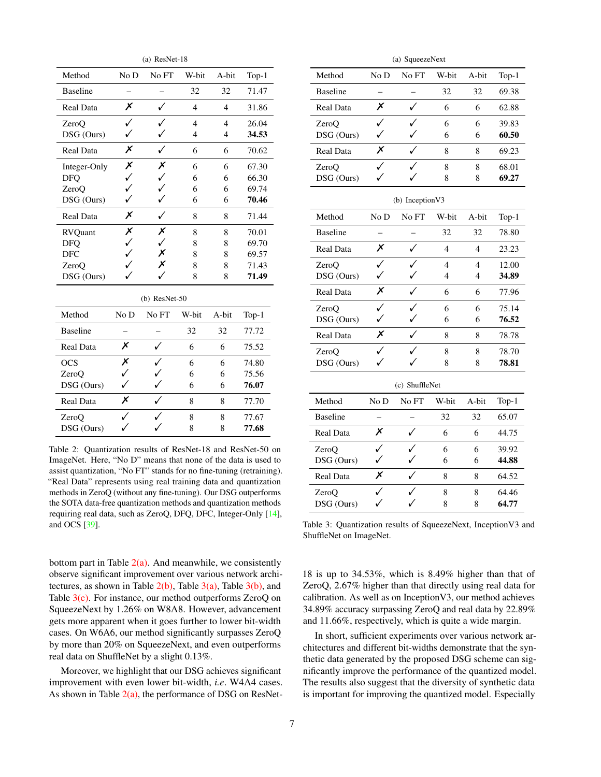<span id="page-6-5"></span><span id="page-6-0"></span>

| $(a)$ ResNet-18  |                      |              |                |                |         |  |  |  |  |
|------------------|----------------------|--------------|----------------|----------------|---------|--|--|--|--|
| Method           | No D                 | No FT        | W-bit          | A-bit          | $Top-1$ |  |  |  |  |
| <b>Baseline</b>  |                      |              | 32             | 32             | 71.47   |  |  |  |  |
| <b>Real Data</b> | X                    | ✓            | $\overline{4}$ | $\overline{4}$ | 31.86   |  |  |  |  |
| ZeroO            | ✓                    |              | $\overline{4}$ | $\overline{4}$ | 26.04   |  |  |  |  |
| DSG (Ours)       |                      |              | 4              | 4              | 34.53   |  |  |  |  |
| <b>Real Data</b> | Х                    |              | 6              | 6              | 70.62   |  |  |  |  |
| Integer-Only     | Х                    | Х            | 6              | 6              | 67.30   |  |  |  |  |
| <b>DFO</b>       | $\checkmark$         | $\checkmark$ | 6              | 6              | 66.30   |  |  |  |  |
| ZeroO            | ✓                    | $\checkmark$ | 6              | 6              | 69.74   |  |  |  |  |
| DSG (Ours)       | ✓                    |              | 6              | 6              | 70.46   |  |  |  |  |
| <b>Real Data</b> | Х                    | ✓            | 8              | 8              | 71.44   |  |  |  |  |
| <b>RVQuant</b>   | Х                    | Х            | 8              | 8              | 70.01   |  |  |  |  |
| <b>DFO</b>       | $\checkmark$         | ✓            | 8              | 8              | 69.70   |  |  |  |  |
| <b>DFC</b>       | ✓                    | X            | 8              | 8              | 69.57   |  |  |  |  |
| ZeroO            |                      | X            | 8              | 8              | 71.43   |  |  |  |  |
| DSG (Ours)       |                      |              | 8              | 8              | 71.49   |  |  |  |  |
| $(b)$ ResNet-50  |                      |              |                |                |         |  |  |  |  |
| Method           | No D                 | No FT        | W-bit          | A-bit          | $Top-1$ |  |  |  |  |
| <b>Baseline</b>  |                      |              | 32             | 32             | 77.72   |  |  |  |  |
| Real Data        | X                    |              | 6              | 6              | 75.52   |  |  |  |  |
| <b>OCS</b>       | $\frac{x}{\sqrt{2}}$ |              | 6              | 6              | 74.80   |  |  |  |  |
| ZeroO            |                      |              | 6              | 6              | 75.56   |  |  |  |  |
| DSG (Ours)       |                      |              | 6              | 6              | 76.07   |  |  |  |  |
| Real Data        | Х                    |              | 8              | 8              | 77.70   |  |  |  |  |
| ZeroQ            |                      |              | 8              | 8              | 77.67   |  |  |  |  |
| DSG (Ours)       |                      |              | 8              | 8              | 77.68   |  |  |  |  |

<span id="page-6-1"></span>Table 2: Quantization results of ResNet-18 and ResNet-50 on ImageNet. Here, "No D" means that none of the data is used to assist quantization, "No FT" stands for no fine-tuning (retraining). "Real Data" represents using real training data and quantization methods in ZeroQ (without any fine-tuning). Our DSG outperforms the SOTA data-free quantization methods and quantization methods requiring real data, such as ZeroQ, DFQ, DFC, Integer-Only [\[14\]](#page-8-11), and OCS [\[39\]](#page-9-10).

bottom part in Table  $2(a)$ . And meanwhile, we consistently observe significant improvement over various network architectures, as shown in Table  $2(b)$ , Table  $3(a)$ , Table  $3(b)$ , and Table  $3(c)$ . For instance, our method outperforms ZeroQ on SqueezeNext by 1.26% on W8A8. However, advancement gets more apparent when it goes further to lower bit-width cases. On W6A6, our method significantly surpasses ZeroQ by more than 20% on SqueezeNext, and even outperforms real data on ShuffleNet by a slight 0.13%.

Moreover, we highlight that our DSG achieves significant improvement with even lower bit-width, *i.e*. W4A4 cases. As shown in Table  $2(a)$ , the performance of DSG on ResNet-

<span id="page-6-3"></span><span id="page-6-2"></span>

| (a) SqueezeNext  |          |                         |                |                |          |  |  |  |
|------------------|----------|-------------------------|----------------|----------------|----------|--|--|--|
| Method           | No D     | No FT<br>W-bit<br>A-bit |                | Top- $1$       |          |  |  |  |
| <b>Baseline</b>  |          |                         | 32             | 32             | 69.38    |  |  |  |
| Real Data        | $\times$ | ✓                       | 6              | 6              | 62.88    |  |  |  |
| ZeroQ            | ✓        |                         | 6              | 6              | 39.83    |  |  |  |
| DSG (Ours)       |          |                         | 6              | 6              | 60.50    |  |  |  |
| <b>Real Data</b> | Х        |                         | 8              | 8              | 69.23    |  |  |  |
| ZeroO            | ✓        |                         | 8              | 8              | 68.01    |  |  |  |
| DSG (Ours)       | ./       | 8                       |                | 8              | 69.27    |  |  |  |
| (b) Inception V3 |          |                         |                |                |          |  |  |  |
| Method           | No D     | No FT                   | W-bit          | A-bit          | Top- $1$ |  |  |  |
| <b>Baseline</b>  |          |                         | 32             | 32             | 78.80    |  |  |  |
| <b>Real Data</b> | Х        | ✓                       | $\overline{4}$ | $\overline{4}$ | 23.23    |  |  |  |
| ZeroQ            | ✓        |                         | $\overline{4}$ | $\overline{4}$ | 12.00    |  |  |  |
| DSG (Ours)       | ✓        |                         | $\overline{4}$ | 4              | 34.89    |  |  |  |
| <b>Real Data</b> | X        |                         | 6              | 6              | 77.96    |  |  |  |
| ZeroQ            | ✓        |                         | 6              | 6              | 75.14    |  |  |  |
| DSG (Ours)       | ✓        |                         | 6              | 6              | 76.52    |  |  |  |
| <b>Real Data</b> |          | $\times$                |                | 8              | 78.78    |  |  |  |
| ZeroO            | ✓        |                         | 8              | 8              | 78.70    |  |  |  |
| DSG (Ours)       | ./       | 8                       |                | 8              | 78.81    |  |  |  |
| (c) ShuffleNet   |          |                         |                |                |          |  |  |  |
| Method           | No D     | No FT                   | W-bit          | A-bit          | Top- $1$ |  |  |  |
| <b>Baseline</b>  |          |                         | 32             | 32             | 65.07    |  |  |  |
| Real Data        | Х        |                         | 6              | 6              | 44.75    |  |  |  |
| ZeroO            | ✓        |                         | 6              | 6              | 39.92    |  |  |  |
| DSG (Ours)       | ✓        |                         | 6              | 6              | 44.88    |  |  |  |
| Real Data        | X        |                         | 8              | 8              | 64.52    |  |  |  |
| ZeroQ            | ✓        |                         | 8              | 8              | 64.46    |  |  |  |
| DSG (Ours)       |          |                         | 8              | 8              | 64.77    |  |  |  |

Table 3: Quantization results of SqueezeNext, InceptionV3 and ShuffleNet on ImageNet.

18 is up to 34.53%, which is 8.49% higher than that of ZeroQ, 2.67% higher than that directly using real data for calibration. As well as on InceptionV3, our method achieves 34.89% accuracy surpassing ZeroQ and real data by 22.89% and 11.66%, respectively, which is quite a wide margin.

In short, sufficient experiments over various network architectures and different bit-widths demonstrate that the synthetic data generated by the proposed DSG scheme can significantly improve the performance of the quantized model. The results also suggest that the diversity of synthetic data is important for improving the quantized model. Especially

<span id="page-6-4"></span> $\overline{a}$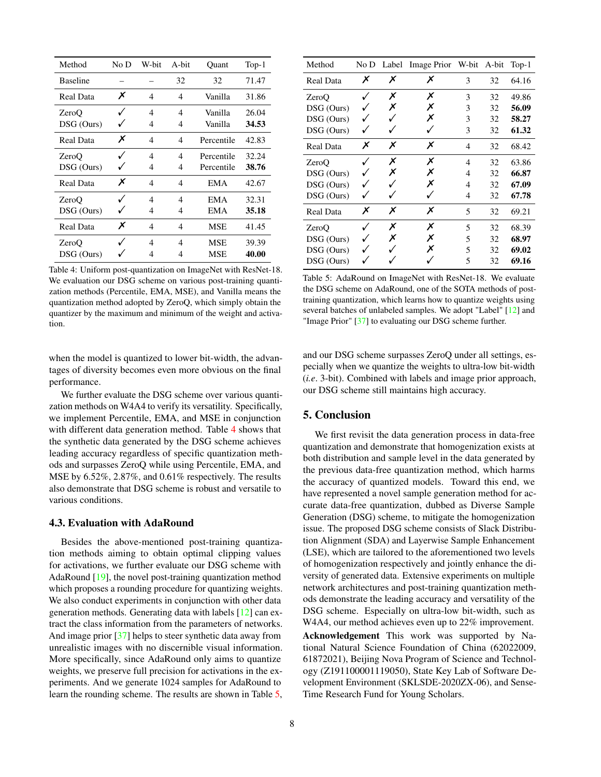<span id="page-7-2"></span><span id="page-7-0"></span>

| Method           | No D | W-bit | A-bit | Quant      | $Top-1$ |
|------------------|------|-------|-------|------------|---------|
| <b>Baseline</b>  |      |       | 32    | 32         | 71.47   |
| Real Data        | Х    | 4     | 4     | Vanilla    | 31.86   |
| ZeroO            |      | 4     | 4     | Vanilla    | 26.04   |
| DSG (Ours)       |      | 4     | 4     | Vanilla    | 34.53   |
| Real Data        | Х    | 4     | 4     | Percentile | 42.83   |
| ZeroO            |      | 4     | 4     | Percentile | 32.24   |
| DSG (Ours)       |      | 4     | 4     | Percentile | 38.76   |
| <b>Real Data</b> | Х    | 4     | 4     | EMA        | 42.67   |
| ZeroQ            |      | 4     | 4     | EMA        | 32.31   |
| DSG (Ours)       |      | 4     | 4     | EMA        | 35.18   |
| Real Data        | Х    | 4     | 4     | <b>MSE</b> | 41.45   |
| ZeroO            |      | 4     | 4     | <b>MSE</b> | 39.39   |
| DSG (Ours)       |      | 4     | 4     | <b>MSE</b> | 40.00   |

Table 4: Uniform post-quantization on ImageNet with ResNet-18. We evaluation our DSG scheme on various post-training quantization methods (Percentile, EMA, MSE), and Vanilla means the quantization method adopted by ZeroQ, which simply obtain the quantizer by the maximum and minimum of the weight and activation.

when the model is quantized to lower bit-width, the advantages of diversity becomes even more obvious on the final performance.

We further evaluate the DSG scheme over various quantization methods on W4A4 to verify its versatility. Specifically, we implement Percentile, EMA, and MSE in conjunction with different data generation method. Table [4](#page-7-0) shows that the synthetic data generated by the DSG scheme achieves leading accuracy regardless of specific quantization methods and surpasses ZeroQ while using Percentile, EMA, and MSE by 6.52%, 2.87%, and 0.61% respectively. The results also demonstrate that DSG scheme is robust and versatile to various conditions.

### 4.3. Evaluation with AdaRound

Besides the above-mentioned post-training quantization methods aiming to obtain optimal clipping values for activations, we further evaluate our DSG scheme with AdaRound [\[19\]](#page-8-15), the novel post-training quantization method which proposes a rounding procedure for quantizing weights. We also conduct experiments in conjunction with other data generation methods. Generating data with labels [\[12\]](#page-8-25) can extract the class information from the parameters of networks. And image prior [\[37\]](#page-9-14) helps to steer synthetic data away from unrealistic images with no discernible visual information. More specifically, since AdaRound only aims to quantize weights, we preserve full precision for activations in the experiments. And we generate 1024 samples for AdaRound to learn the rounding scheme. The results are shown in Table [5,](#page-7-1)

<span id="page-7-1"></span>

| Method           | No D |   | Label Image Prior W-bit A-bit |   |    | $Top-1$ |
|------------------|------|---|-------------------------------|---|----|---------|
| Real Data        | Х    | Х | Х                             | 3 | 32 | 64.16   |
| ZeroQ            |      | Х | Х                             | 3 | 32 | 49.86   |
| DSG (Ours)       |      | Х | Х                             | 3 | 32 | 56.09   |
| DSG (Ours)       |      |   | Х                             | 3 | 32 | 58.27   |
| DSG (Ours)       |      |   |                               | 3 | 32 | 61.32   |
| <b>Real Data</b> | Х    | Х | Х                             | 4 | 32 | 68.42   |
| ZeroO            |      | Х | Х                             | 4 | 32 | 63.86   |
| DSG (Ours)       |      | Х | Х                             | 4 | 32 | 66.87   |
| DSG (Ours)       |      |   | Х                             | 4 | 32 | 67.09   |
| DSG (Ours)       |      |   |                               | 4 | 32 | 67.78   |
| Real Data        | Х    | Х | Х                             | 5 | 32 | 69.21   |
| ZeroO            |      | Х | Х                             | 5 | 32 | 68.39   |
| DSG (Ours)       |      | Х | Х                             | 5 | 32 | 68.97   |
| DSG (Ours)       |      |   | x                             | 5 | 32 | 69.02   |
| DSG (Ours)       |      |   |                               | 5 | 32 | 69.16   |

Table 5: AdaRound on ImageNet with ResNet-18. We evaluate the DSG scheme on AdaRound, one of the SOTA methods of posttraining quantization, which learns how to quantize weights using several batches of unlabeled samples. We adopt "Label" [\[12\]](#page-8-25) and "Image Prior" [\[37\]](#page-9-14) to evaluating our DSG scheme further.

and our DSG scheme surpasses ZeroQ under all settings, especially when we quantize the weights to ultra-low bit-width (*i.e*. 3-bit). Combined with labels and image prior approach, our DSG scheme still maintains high accuracy.

# 5. Conclusion

We first revisit the data generation process in data-free quantization and demonstrate that homogenization exists at both distribution and sample level in the data generated by the previous data-free quantization method, which harms the accuracy of quantized models. Toward this end, we have represented a novel sample generation method for accurate data-free quantization, dubbed as Diverse Sample Generation (DSG) scheme, to mitigate the homogenization issue. The proposed DSG scheme consists of Slack Distribution Alignment (SDA) and Layerwise Sample Enhancement (LSE), which are tailored to the aforementioned two levels of homogenization respectively and jointly enhance the diversity of generated data. Extensive experiments on multiple network architectures and post-training quantization methods demonstrate the leading accuracy and versatility of the DSG scheme. Especially on ultra-low bit-width, such as W4A4, our method achieves even up to 22% improvement. Acknowledgement This work was supported by National Natural Science Foundation of China (62022009, 61872021), Beijing Nova Program of Science and Technology (Z191100001119050), State Key Lab of Software Development Environment (SKLSDE-2020ZX-06), and Sense-

Time Research Fund for Young Scholars.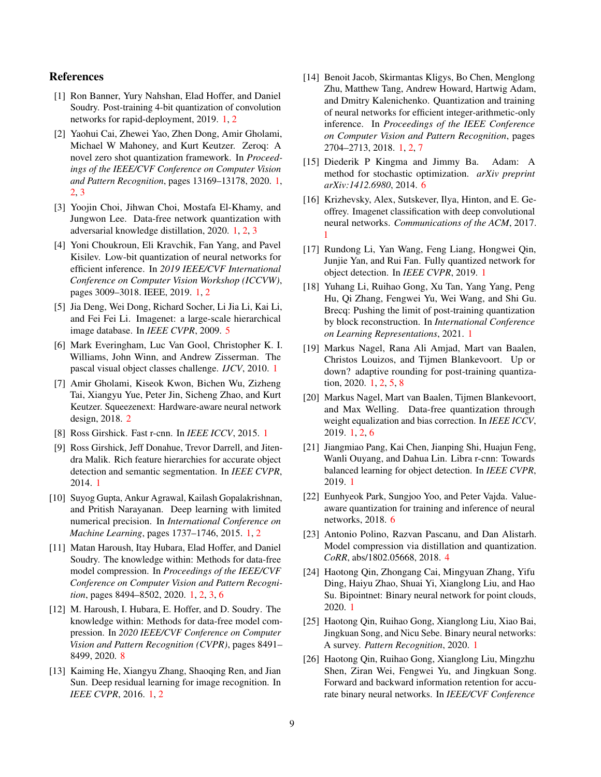# References

- <span id="page-8-13"></span>[1] Ron Banner, Yury Nahshan, Elad Hoffer, and Daniel Soudry. Post-training 4-bit quantization of convolution networks for rapid-deployment, 2019. [1,](#page-0-2) [2](#page-1-0)
- <span id="page-8-1"></span>[2] Yaohui Cai, Zhewei Yao, Zhen Dong, Amir Gholami, Michael W Mahoney, and Kurt Keutzer. Zeroq: A novel zero shot quantization framework. In *Proceedings of the IEEE/CVF Conference on Computer Vision and Pattern Recognition*, pages 13169–13178, 2020. [1,](#page-0-2) [2,](#page-1-0) [3](#page-2-3)
- <span id="page-8-19"></span>[3] Yoojin Choi, Jihwan Choi, Mostafa El-Khamy, and Jungwon Lee. Data-free network quantization with adversarial knowledge distillation, 2020. [1,](#page-0-2) [2,](#page-1-0) [3](#page-2-3)
- <span id="page-8-14"></span>[4] Yoni Choukroun, Eli Kravchik, Fan Yang, and Pavel Kisilev. Low-bit quantization of neural networks for efficient inference. In *2019 IEEE/CVF International Conference on Computer Vision Workshop (ICCVW)*, pages 3009–3018. IEEE, 2019. [1,](#page-0-2) [2](#page-1-0)
- <span id="page-8-22"></span>[5] Jia Deng, Wei Dong, Richard Socher, Li Jia Li, Kai Li, and Fei Fei Li. Imagenet: a large-scale hierarchical image database. In *IEEE CVPR*, 2009. [5](#page-4-2)
- <span id="page-8-7"></span>[6] Mark Everingham, Luc Van Gool, Christopher K. I. Williams, John Winn, and Andrew Zisserman. The pascal visual object classes challenge. *IJCV*, 2010. [1](#page-0-2)
- <span id="page-8-20"></span>[7] Amir Gholami, Kiseok Kwon, Bichen Wu, Zizheng Tai, Xiangyu Yue, Peter Jin, Sicheng Zhao, and Kurt Keutzer. Squeezenext: Hardware-aware neural network design, 2018. [2](#page-1-0)
- <span id="page-8-4"></span>[8] Ross Girshick. Fast r-cnn. In *IEEE ICCV*, 2015. [1](#page-0-2)
- <span id="page-8-3"></span>[9] Ross Girshick, Jeff Donahue, Trevor Darrell, and Jitendra Malik. Rich feature hierarchies for accurate object detection and semantic segmentation. In *IEEE CVPR*, 2014. [1](#page-0-2)
- <span id="page-8-10"></span>[10] Suyog Gupta, Ankur Agrawal, Kailash Gopalakrishnan, and Pritish Narayanan. Deep learning with limited numerical precision. In *International Conference on Machine Learning*, pages 1737–1746, 2015. [1,](#page-0-2) [2](#page-1-0)
- <span id="page-8-18"></span>[11] Matan Haroush, Itay Hubara, Elad Hoffer, and Daniel Soudry. The knowledge within: Methods for data-free model compression. In *Proceedings of the IEEE/CVF Conference on Computer Vision and Pattern Recognition*, pages 8494–8502, 2020. [1,](#page-0-2) [2,](#page-1-0) [3,](#page-2-3) [6](#page-5-2)
- <span id="page-8-25"></span>[12] M. Haroush, I. Hubara, E. Hoffer, and D. Soudry. The knowledge within: Methods for data-free model compression. In *2020 IEEE/CVF Conference on Computer Vision and Pattern Recognition (CVPR)*, pages 8491– 8499, 2020. [8](#page-7-2)
- <span id="page-8-2"></span>[13] Kaiming He, Xiangyu Zhang, Shaoqing Ren, and Jian Sun. Deep residual learning for image recognition. In *IEEE CVPR*, 2016. [1,](#page-0-2) [2](#page-1-0)
- <span id="page-8-11"></span>[14] Benoit Jacob, Skirmantas Kligys, Bo Chen, Menglong Zhu, Matthew Tang, Andrew Howard, Hartwig Adam, and Dmitry Kalenichenko. Quantization and training of neural networks for efficient integer-arithmetic-only inference. In *Proceedings of the IEEE Conference on Computer Vision and Pattern Recognition*, pages 2704–2713, 2018. [1,](#page-0-2) [2,](#page-1-0) [7](#page-6-5)
- <span id="page-8-23"></span>[15] Diederik P Kingma and Jimmy Ba. Adam: A method for stochastic optimization. *arXiv preprint arXiv:1412.6980*, 2014. [6](#page-5-2)
- <span id="page-8-0"></span>[16] Krizhevsky, Alex, Sutskever, Ilya, Hinton, and E. Geoffrey. Imagenet classification with deep convolutional neural networks. *Communications of the ACM*, 2017. [1](#page-0-2)
- <span id="page-8-6"></span>[17] Rundong Li, Yan Wang, Feng Liang, Hongwei Qin, Junjie Yan, and Rui Fan. Fully quantized network for object detection. In *IEEE CVPR*, 2019. [1](#page-0-2)
- <span id="page-8-16"></span>[18] Yuhang Li, Ruihao Gong, Xu Tan, Yang Yang, Peng Hu, Qi Zhang, Fengwei Yu, Wei Wang, and Shi Gu. Brecq: Pushing the limit of post-training quantization by block reconstruction. In *International Conference on Learning Representations*, 2021. [1](#page-0-2)
- <span id="page-8-15"></span>[19] Markus Nagel, Rana Ali Amjad, Mart van Baalen, Christos Louizos, and Tijmen Blankevoort. Up or down? adaptive rounding for post-training quantization, 2020. [1,](#page-0-2) [2,](#page-1-0) [5,](#page-4-2) [8](#page-7-2)
- <span id="page-8-17"></span>[20] Markus Nagel, Mart van Baalen, Tijmen Blankevoort, and Max Welling. Data-free quantization through weight equalization and bias correction. In *IEEE ICCV*, 2019. [1,](#page-0-2) [2,](#page-1-0) [6](#page-5-2)
- <span id="page-8-5"></span>[21] Jiangmiao Pang, Kai Chen, Jianping Shi, Huajun Feng, Wanli Ouyang, and Dahua Lin. Libra r-cnn: Towards balanced learning for object detection. In *IEEE CVPR*, 2019. [1](#page-0-2)
- <span id="page-8-24"></span>[22] Eunhyeok Park, Sungjoo Yoo, and Peter Vajda. Valueaware quantization for training and inference of neural networks, 2018. [6](#page-5-2)
- <span id="page-8-21"></span>[23] Antonio Polino, Razvan Pascanu, and Dan Alistarh. Model compression via distillation and quantization. *CoRR*, abs/1802.05668, 2018. [4](#page-3-5)
- <span id="page-8-12"></span>[24] Haotong Qin, Zhongang Cai, Mingyuan Zhang, Yifu Ding, Haiyu Zhao, Shuai Yi, Xianglong Liu, and Hao Su. Bipointnet: Binary neural network for point clouds, 2020. [1](#page-0-2)
- <span id="page-8-9"></span>[25] Haotong Qin, Ruihao Gong, Xianglong Liu, Xiao Bai, Jingkuan Song, and Nicu Sebe. Binary neural networks: A survey. *Pattern Recognition*, 2020. [1](#page-0-2)
- <span id="page-8-8"></span>[26] Haotong Qin, Ruihao Gong, Xianglong Liu, Mingzhu Shen, Ziran Wei, Fengwei Yu, and Jingkuan Song. Forward and backward information retention for accurate binary neural networks. In *IEEE/CVF Conference*